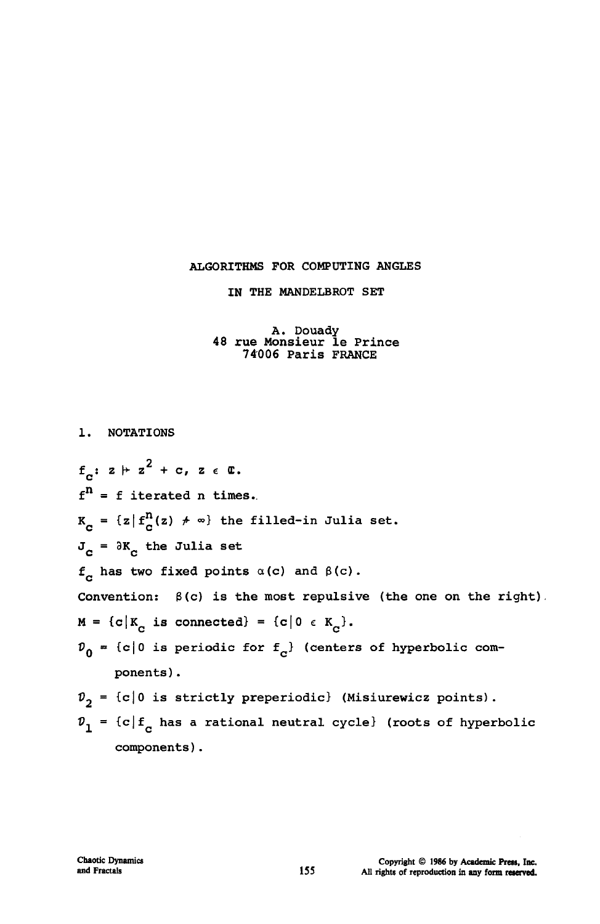# **ALGORITHMS FOR COMPUTING ANGLES**

**IN THE MANDELBROT SET** 

### **A. Douady 48 rue Monsieur le Prince 74006 Paris FRANCE**

**1. NOTATIONS 2**  *f*  $\alpha$  **d**  $\alpha$  **m**  $\alpha$  **d**  $\alpha$  **m**  $\alpha$  **d**  $\alpha$  **m**  $\alpha$  **d**  $\alpha$  **d**  $\alpha$  **d**  $\alpha$  **d**  $\alpha$  **d**  $\alpha$  **d**  $\alpha$  **d**  $\alpha$  **d**  $\alpha$  **d**  $\alpha$  **d**  $\alpha$  **d**  $\alpha$  **d**  $\alpha$  **d**  $\alpha$  **d**  $\alpha$  **d**  $\alpha$  **d**  $\alpha$  **d**  $\alpha$  **d f <sup>n</sup> = f iterated n times..**   $K_c = \{z | f_c^n(z) \neq \infty\}$  the filled-in Julia set.  $\mathbf{J_c}$  =  $\partial \mathbf{K_c}$  the Julia set  $f_c$  has two fixed points  $\alpha(c)$  and  $\beta(c)$ . **Convention: 3(c) is the most repulsive (the one on the right).**   $M = {c|K<sub>C</sub> is connected} = {c|0 \in K<sub>C</sub>}.$  $\mathcal{V}_0 = \{c | 0$  is periodic for  $f_c$  (centers of hyperbolic com**ponents) .**   $v_2$  = {c|0 is strictly preperiodic} (Misiurewicz points).  $p_1 = {c | f_c}$  has a rational neutral cycle} (roots of hyperbolic

**components).**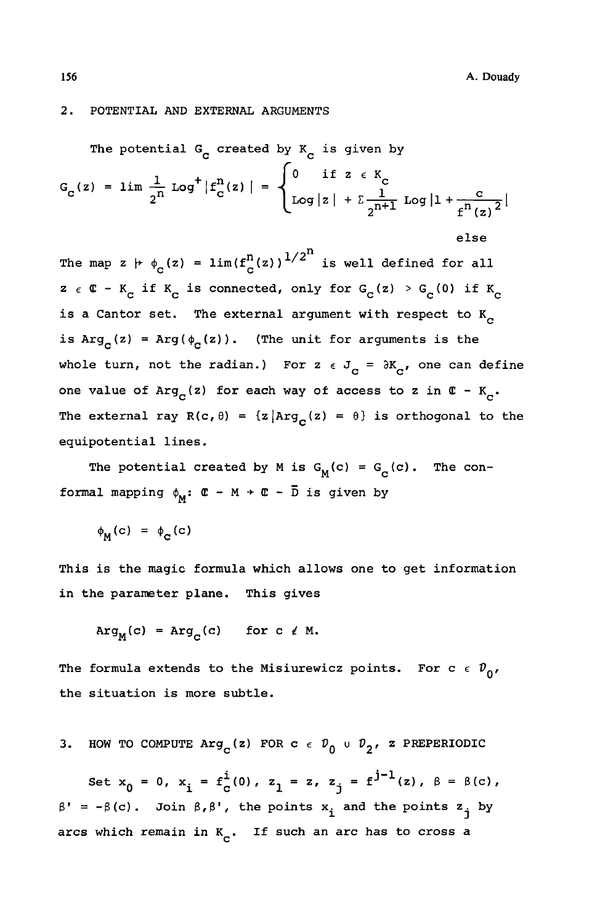**else** 

#### $2.$ **POTENTIAL AND EXTERNAL ARGUMENTS**

The potential G<sub>c</sub> created by K<sub>c</sub> is given by  
\n
$$
G_c(z) = \lim_{2^n} \frac{1}{2^n} \log^+ |f_c^n(z)| = \begin{cases} 0 & \text{if } z \in K_c \\ \log|z| + \sum_{2^{n+1}}^{\infty} \log|1 + \frac{c}{f^n(z)}|^2 \end{cases}
$$

The map  $z \not\vdash \phi_c(z) = \lim(f^n_c(z))^{1/2^n}$  is well defined for all  $z \in \mathbb{C} - K_c$  if  $K_c$  is connected, only for  $G_c(z) > G_c(0)$  if  $K_c$ is a Cantor set. The external argument with respect to K<sub>c</sub> is  $Arg_c(z) = Arg(\phi_c(z))$ . (The unit for arguments is the whole turn, not the radian.) For  $z \in J_c = \partial K_c$ , one can define **one value of Arg<sub>c</sub>(z) for each way of access to z in**  $C - K_c$ **.** The external ray  $R(c, \theta) = \{z | Arg_{c}(z) = \theta\}$  is orthogonal to the **equipotential lines.** 

The potential created by M is  $G_M(c) = G_c(c)$ . The con**formal mapping**  $\phi_M$ **:**  $\mathbf{C} - M \rightarrow \mathbf{C} - \overline{D}$  **is given by** 

 $\phi_{\mathbf{M}}(\mathbf{c}) = \phi_{\mathbf{c}}(\mathbf{c})$ 

**This is the magic formula which allows one to get information in the parameter plane. This gives** 

$$
Arg_M(c) = Arg_C(c) \quad for \ c \ \neq M.
$$

The formula extends to the Misiurewicz points. For  $c \in \mathcal{D}_{0}$ , **the situation is more subtle.** 

HOW TO COMPUTE  $\text{Arg}_C(z)$  FOR  $c \in \mathcal{D}_0 \cup \mathcal{D}_2$ , z PREPERIODIC

Set  $x_0 = 0$ ,  $x_i = f_c^i(0)$ ,  $z_1 = z$ ,  $z_i = f^{j-1}(z)$ ,  $\beta = \beta(c)$ ,  $\beta' = -\beta(c)$ . Join  $\beta, \beta'$ , the points  $x_i$  and the points  $z_i$  by arcs which remain in  $K_{\rm c}$ . If such an arc has to cross a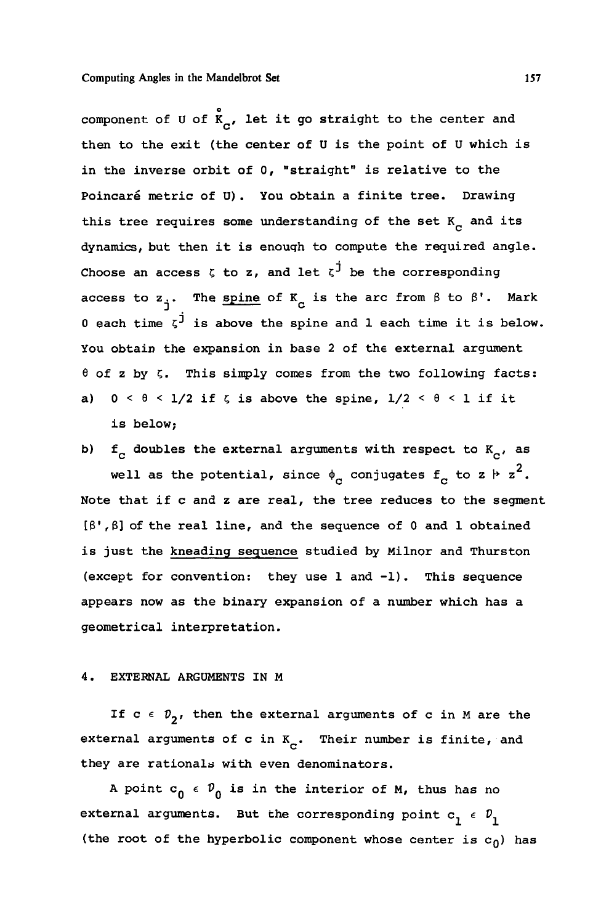o **component of U of K , let it go straight to the center and then to the exit (the center of U is the point of U which is in the inverse orbit of 0, "straight" is relative to the Poincare metric of U) . You obtain a finite tree. Drawing**  this tree requires some understanding of the set  $K_{\rm cr}$  and its **dynamics, but then it is enough to compute the required angle. Choose an access £ to z, and let** *z?* **be the corresponding**  access to  $z_1$ . The spine of  $K_{\alpha}$  is the arc from  $\beta$  to  $\beta'$ . Mark  $0$  each time  $\zeta^{\dot{j}}$  is above the spine and  $l$  each time it is below. **You obtain the expansion in base 2 of the external argument 6 of z by C. This simply comes from the two following facts:**  a)  $0 < \theta < 1/2$  if  $\zeta$  is above the spine,  $1/2 < \theta < 1$  if it **is below;** 

**b)**  $f_c$  doubles the external arguments with respect to  $K_c$ , as well as the potential, since  $\phi_c$  conjugates  $f_c$  to z  $\vdash$  z<sup>2</sup>. **Note that if c and z are real, the tree reduces to the segment [3',3] of the real line, and the sequence of 0 and 1 obtained is just the kneading sequence studied by Milnor and Thurston (except for convention: they use 1 and -1). This sequence appears now as the binary expansion of a number which has a geometrical interpretation.** 

### **4. EXTERNAL ARGUMENTS IN M**

If  $c \in \mathcal{V}_2$ , then the external arguments of c in M are the external arguments of c in K<sub>c</sub>. Their number is finite, and **they are rationale with even denominators.** 

A point  $c_0 \in \mathcal{V}_0$  is in the interior of M, thus has no external arguments. But the corresponding point  $c_1 \in \mathcal{D}_1$ (the root of the hyperbolic component whose center is  $c_0$ ) has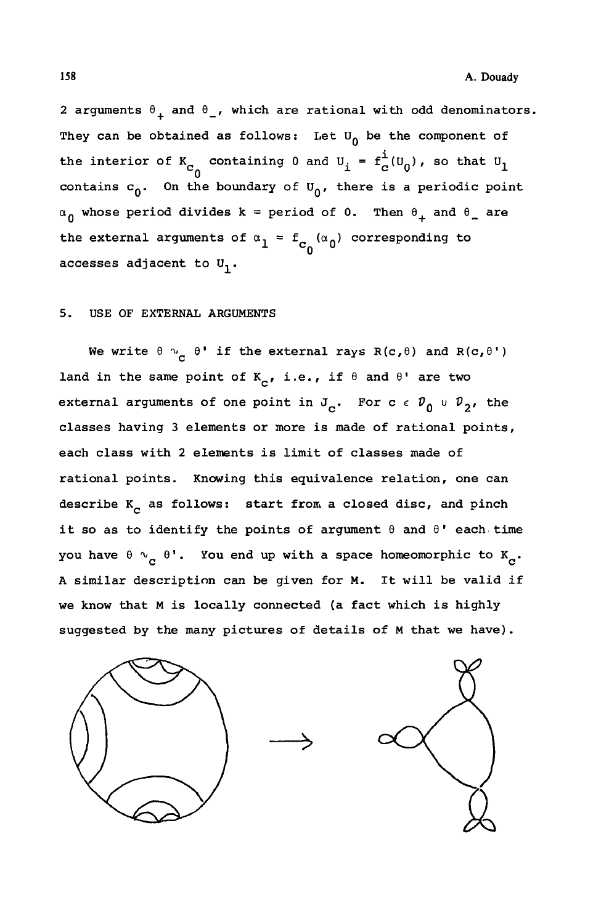2 arguments  $\theta_+$  and  $\theta_-$ , which are rational with odd denominators. They can be obtained as follows: Let  $U_0$  be the component of the interior of  $K_{c_0}$  containing 0 and  $U_i = f_c^i(U_0)$ , so that  $U_1$ contains  $c_0$ . On the boundary of  $U_0$ , there is a periodic point  $\alpha_0$  whose period divides  $k =$  period of 0. Then  $\theta_+$  and  $\theta_-$  are the external arguments of  $a_1 - a_0$   $a_0$  corresponding to **accesses adjacent to U,.** 

### **5. USE OF EXTERNAL ARGUMENTS**

We write  $\theta \sim_{\rho} \theta'$  if the external rays R(c,  $\theta$ ) and R(c,  $\theta'$ ) land in the same point of  $K_{\alpha}$ , i.e., if  $\theta$  and  $\theta$ <sup>*'*</sup> are two external arguments of one point in  $J_c$ . For  $c \in \mathcal{V}_0 \cup \mathcal{V}_2$ , the **classes having 3 elements or more is made of rational points, each class with 2 elements is limit of classes made of rational points. Knowing this equivalence relation, one can**  describe K<sub>n</sub> as follows: start from a closed disc, and pinch **it so as to identify the points of argument 0 and 0' each time**  you have  $\theta \sim_{\alpha} \theta'$ . You end up with a space homeomorphic to K<sub>a</sub>. **A similar description can be given for M. It will be valid if we know that M is locally connected (a fact which is highly suggested by the many pictures of details of M that we have) .** 

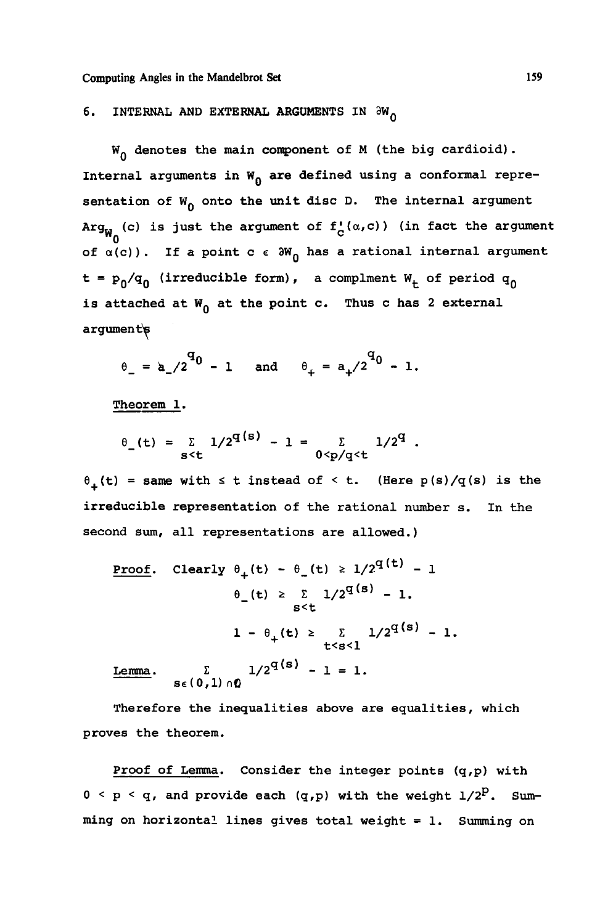# **6.** INTERNAL AND EXTERNAL ARGUMENTS IN  $\partial w_{\Omega}$

**<sup>W</sup>Q denotes the main component of M (the big cardioid).**  Internal arguments in W<sub>0</sub> are defined using a conformal representation of  $W_0$  onto the unit disc D. The internal argument  $\text{Arg}_{W_0}$  (c) is just the argument of  $f_c^{\dagger}(\alpha, c)$  ) (in fact the argument **w 0 of a(c)). If a point c** *e* **3WQ has a rational internal argument t = PQ/^Q (irreduc\* ble form), a complment W. of period q<sup>Q</sup>** is attached at W<sub>0</sub> at the point c. Thus c has 2 external **argument^** 

$$
\theta_{-} = a_{-}/2^{q_0} - 1
$$
 and  $\theta_{+} = a_{+}/2^{q_0} - 1$ .

**Theorem 1.** 

$$
\theta_{\text{S-t}}(t) = \sum_{s \le t} 1/2^{q(s)} - 1 = \sum_{0 \le p/q \le t} 1/2^q
$$
.

 $\theta_{\perp}$ (t) = same with  $\leq$  t instead of  $\leq$  t. (Here p(s)/q(s) is the **irreducible representation of the rational number s. In the second sum, all representations are allowed.)** 

 $\mathbf{z}$ 

Proof. Clearly 
$$
\theta_{+}(t) - \theta_{-}(t) \ge 1/2^{q(t)} - 1
$$
  
\n $\theta_{-}(t) \ge \sum_{s < t} 1/2^{q(s)} - 1$ .  
\n $1 - \theta_{+}(t) \ge \sum_{t < s < 1} 1/2^{q(s)} - 1$ .  
\nLemma.  $\sum_{s \in (0,1) \cap \Omega} 1/2^{q(s)} - 1 = 1$ .

**Therefore the inequalities above are equalities***,* **which proves the theorem.** 

**Proof of Lemma. Consider the integer points (q,p) with**   $0 < p < q$ , and provide each  $(q, p)$  with the weight  $1/2^p$ . Sum**ming on horizontal lines gives total weight = 1. Summing on**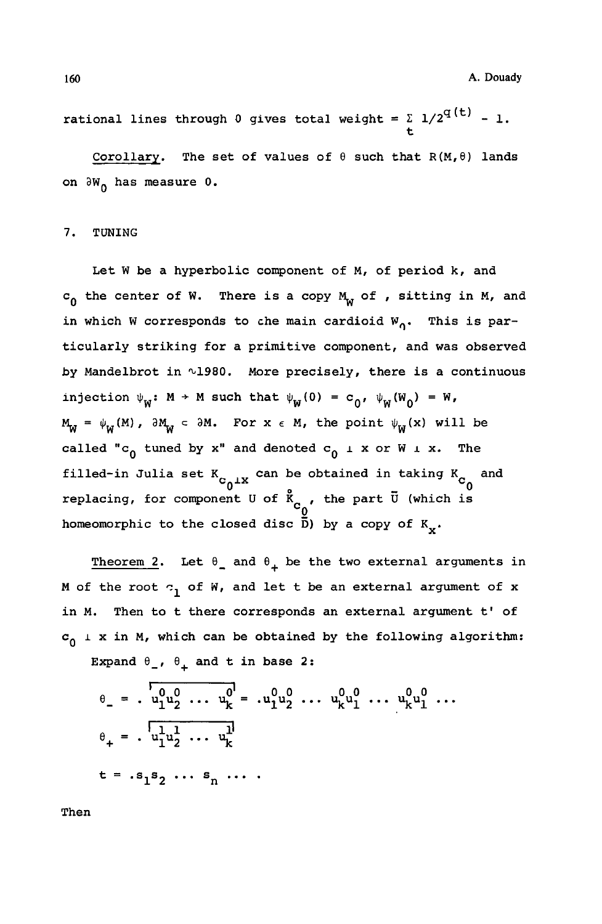**160 A. Douady** 

**t** 

**rational lines through 0 gives total weight =**  $\sum_{i=1}^{6} 1/2^{q(t)} - 1$ **.** 

**Corollary. The set of values of 6 such that R(M,6) lands on 9W0 has measure 0.** 

#### **7. TUNING**

**Let W be a hyperbolic component of M, of period k, and cQ the center of W. There is a copy M^ of , sitting in M, and**  in which W corresponds to che main cardioid W<sub>o</sub>. This is par**ticularly striking for a primitive component, and was observed by Mandelbrot in ^1980. More precisely, there is a continuous**  injection  $\psi_{\mathbf{w}}$ :  $\mathbf{M} \to \mathbf{M}$  such that  $\psi_{\mathbf{w}}(0) = c_{0}$ ,  $\psi_{\mathbf{w}}(\mathbf{W}_{0}) = \mathbf{W}$ ,  $M_{\text{w}} = \psi_{\text{w}}(M)$ ,  $\partial M_{\text{w}} \subset \partial M$ . For  $x \in M$ , the point  $\psi_{\text{w}}(x)$  will be called "c<sub>0</sub> tuned by x" and denoted c<sub>0</sub> i x or W i x. The filled-in Julia set K<sub>2</sub>, can be obtained in taking K<sub>2</sub> and  $\sim$  0<sup> $+$ </sup>  $\sim$ <sup>o</sup> <sup>---</sup> <sup>o---</sup><br>replacing, for component U of  $\stackrel{\circ}{\textbf{K}}_{_{\textbf{C}}}$ , the part  $\stackrel{\circ}{\textbf{U}}$  (which is homeomorphic to the closed disc  $\tilde{\overline{D}}$ ) by a copy of  $K_{\mathbf{v}}$ .

Theorem 2. Let  $\theta$  and  $\theta$ <sub>1</sub> be the two external arguments in **M** of the root  $\sigma_1$  of W, and let t be an external argument of x **in M. Then to t there corresponds an external argument t' of**   $c_0$   $\perp$  x in M, which can be obtained by the following algorithm: Expand  $\theta_{-}$ ,  $\theta_{+}$  and t in base 2:

$$
\theta_{-} = \frac{1}{u_{1}^{0}u_{2}^{0}} \dots u_{k}^{0} = \frac{1}{u_{1}^{0}u_{2}^{0}} \dots u_{k}^{0}u_{1}^{0} \dots u_{k}^{0}u_{1}^{0} \dots
$$
  
\n
$$
\theta_{+} = \frac{1}{u_{1}^{1}u_{2}^{1}} \dots u_{k}^{1}
$$
  
\n
$$
t = s_{1}s_{2} \dots s_{n} \dots
$$

**Then**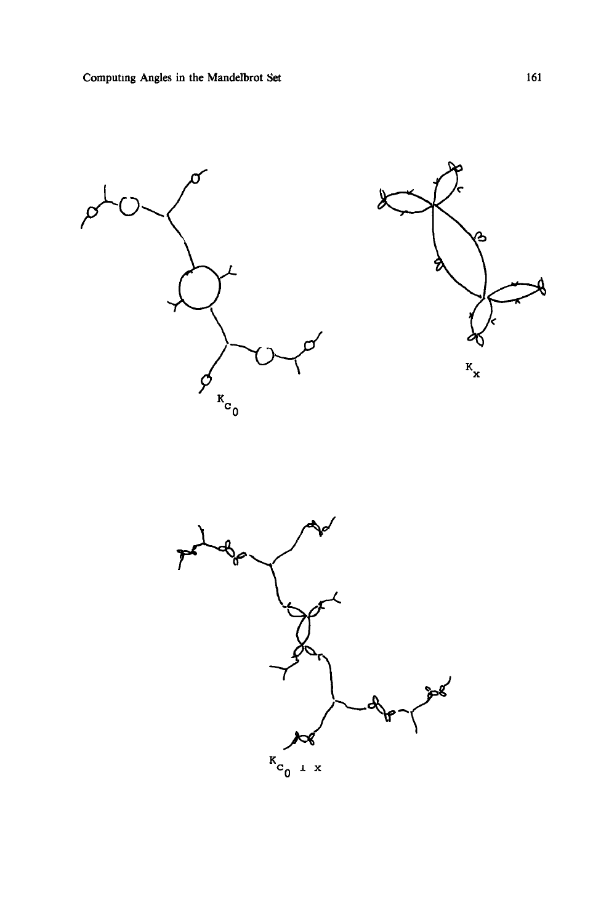



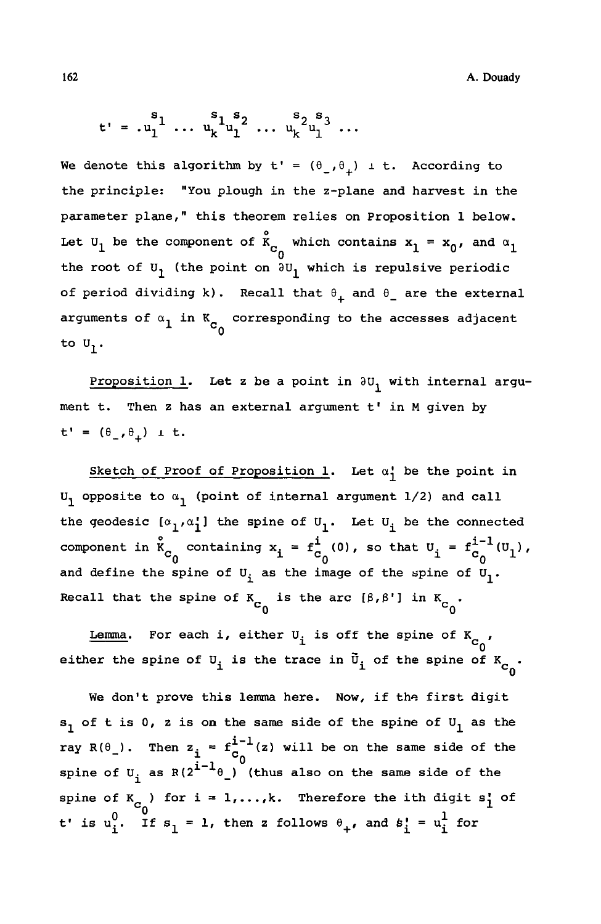A.Douady

$$
t' = .u_1^{s_1} \dots u_k^{s_1 s_2} \dots u_k^{s_2 s_3} \dots
$$

We denote this algorithm by  $t' = (\theta_-, \theta_+) \text{ i } t$ . According to the principle: "You plough in the z-plane and harvest in the parameter plane," this theorem relies on Proposition 1 below. Let  $U_1$  be the component of  $\int_{c_0}^{\circ}$  which contains  $x_1 = x_0$ , and  $\alpha_1$ the root of  $U_1$  (the point on  $\partial U_1$  which is repulsive periodic of period dividing k). Recall that  $\theta_+$  and  $\theta_-$  are the external arguments of  $\alpha_1$  in K<sub>C<sub>o</sub></sub> corresponding to the accesses adjacent to  $U_1$ .

Proposition 1. Let z be a point in  $\partial U_1$  with internal argument t. Then <sup>z</sup> has an external argument t' in <sup>M</sup> given by  $t' = (\theta_-, \theta_+) \pm t.$ 

Sketch of Proof of Proposition 1. Let  $\alpha_1^1$  be the point in  $U_1$  opposite to  $\alpha_1$  (point of internal argument 1/2) and call the geodesic  $[\alpha_1,\alpha_1']$  the spine of  $U_1$ . Let  $U_i$  be the connected component in  $\mathring{\mathbf{K}}_{c_0}$  containing  $\mathbf{x}_i = \mathbf{f}^i_{c_0}(0)$ , so that  $\mathbf{U}_i = \mathbf{f}^{i-1}_{c_0}(\mathbf{U}_1)$ , and define the spine of  $U_i$  as the image of the spine of  $U_1$ . Recall that the spine of  $K_{C_{\alpha}}$  is the arc  $[\beta, \beta']$  in  $K_{C_{\alpha}}$ .

Lemma. For each i, either  $U_i$  is off the spine of  $K_{C_0}$ , either the spine of  $\mathtt{U}_\mathtt{i}$  is the trace in  $\mathtt{\bar{U}}_\mathtt{i}$  of the spine of  $\mathtt{K}_\mathtt{C_0}$ 

We don't prove this lemma here. Now, if the first digit  $s_1$  of t is 0, z is on the same side of the spine of  $U_1$  as the ray R( $\theta$ <sub>1</sub>). Then  $z_i = f_c^{i-1}(z)$  will be on the same side of the spine of  $U_i$  as  $R(2^{i-1}\theta_+)$  (thus also on the same side of the spine of  $K_{C_0}$  for  $i = 1,...,k$ . Therefore the ith digit s<sup>1</sup> of t' is  $u_i^0$ . If  $s_1 = 1$ , then z follows  $\theta_+$ , and  $s_i^1 = u_i^1$  for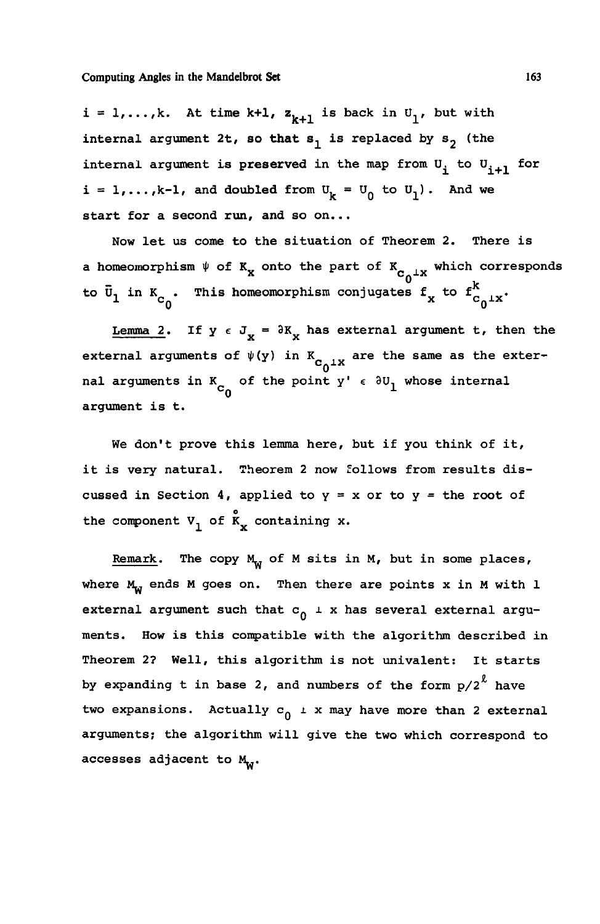$i = 1,...,k$ . At time k+1,  $z_{k+1}$  is back in  $U_1$ , but with internal argument 2t, so that  $s_1$  is replaced by  $s_2$  (the internal argument is preserved in the map from  $U_i$  to  $U_{i+1}$  for  $i = 1, \ldots, k-1$ , and doubled from  $U_k = U_0$  to  $U_1$ ). And we start for a second run, and so on...

Now let us come to the situation of Theorem 2. There is a homeomorphism  $\psi$  of K<sub>x</sub> onto the part of K<sub>C<sub>o</sub><sup>1x</sup></sub> which corresponds to  $\bar{v}_1$  in  $K_{c_0}$ . This homeomorphism conjugates  $f_x$  to  $f_{c_0+X}^k$ .

Lemma 2. If  $y \in J_x = \partial K_x$  has external argument t, then the external arguments of  $\psi(y)$  in K<sub>C<sub>0</sub><sup>1</sup>x</sub> are the same as the exter- $\frac{6}{10}$ nal arguments in  $K_{_{\rm CO}}$  of the point  $y'$   $\epsilon$   $\partial U_{1}$  whose internal  $\sim$ <sup>0</sup> argument is t.

We don't prove this lemma here, but if you think of it, it is very natural. Theorem 2 now follows from results discussed in Section 4, applied to  $y = x$  or to  $y =$  the root of o the component  $v_1$  or  $k_x$  containing x.

Remark. The copy  $M_W$  of M sits in M, but in some places, where  $M_{-1}$  ends M goes on. Then there are points x in M with 1 external argument such that  $c_0 \perp x$  has several external arguments. How is this compatible with the algorithm described in Theorem 2? Well, this algorithm is not univalent: It starts by expanding  $t$  in base  $2$ , and numbers of the form  $p/2^{\ell}$  have two expansions. Actually  $c_0 \perp x$  may have more than 2 external arguments; the algorithm will give the two which correspond to accesses adjacent to  $M_{\rm w}$ .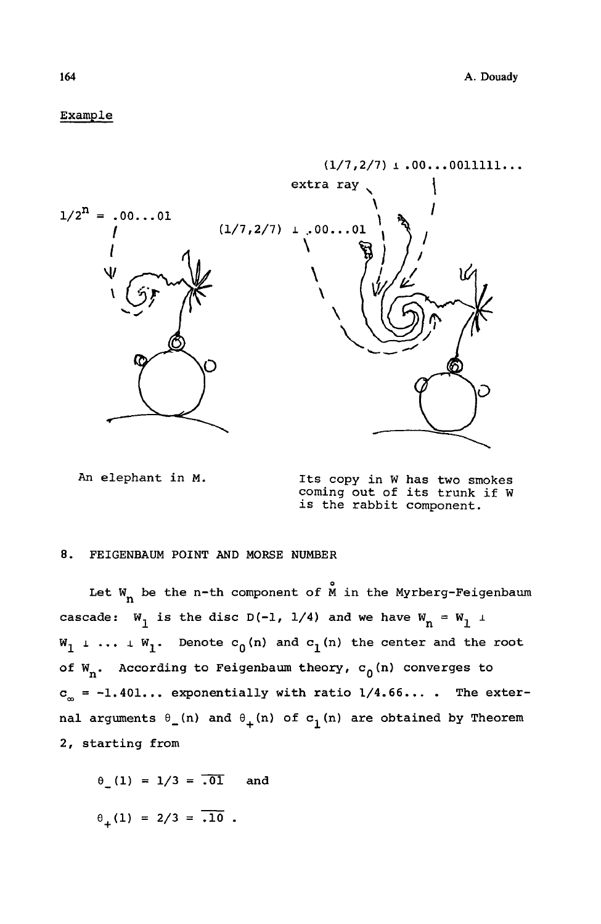# Example



**An elephant in M. Its copy in W has two smokes coming out of its trunk if W is the rabbit component.** 

#### **8. FEIGENBAUM POINT AND MORSE NUMBER**

Let  $W_n$  be the n-th component of  $\stackrel{\circ}{M}$  in the Myrberg-Feigenbaum cascade:  $W_1$  is the disc D(-1, 1/4) and we have  $W_n = W_1$   $\perp$  $\mathbf{w}_1$   $\perp$   $\ldots$   $\perp$   $\mathbf{w}_1$ . Denote  $\mathbf{c}_0$  (n) and  $\mathbf{c}_1$  (n) the center and the root of W<sub>n</sub>. According to Feigenbaum theory, c<sub>0</sub>(n) converges to  $c_{\infty}$  =  $-1.401...$  exponentially with ratio  $1/4.66...$ . The external arguments  $\theta_-(n)$  and  $\theta_+(n)$  of  $c_1(n)$  are obtained by Theorem **2, starting from** 

 $0(1) = 1/3 = 701$  and  $\theta_+(1) = 2/3 = .10$ .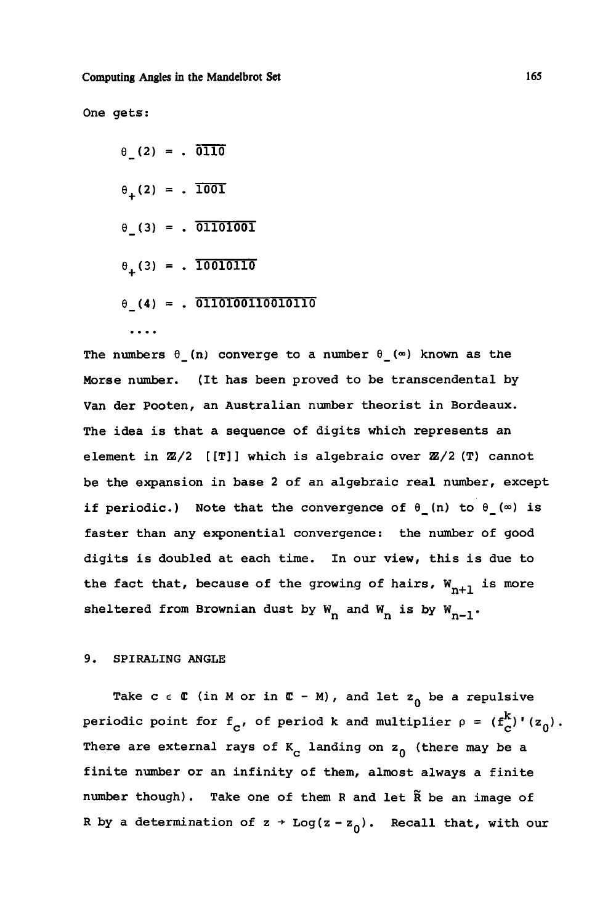**One gets:** 

**e\_ .(2) . olio**   $\theta_+(2) = . \overline{1001}$ **e\_ "(3) . 01101001 8 <sup>+</sup> (3) \* . 10010110** 

**e\_(4) = . oiioiooiiooiono** 

 $\cdots$ 

The numbers  $\theta$  (n) converge to a number  $\theta$  ( $\infty$ ) known as the **Morse number. (It has been proved to be transcendental by Van der Pooten, an Australian number theorist in Bordeaux. The idea is that a sequence of digits which represents an element in ffi/2 [ [T] ] which is algebraic over** *2Z/2* **(T) cannot be the expansion in base 2 of an algebraic real number, except if periodic.)** Note that the convergence of  $\theta$ <sub>1</sub> (n) to  $\theta$ <sub>1</sub> ( $\infty$ ) is **faster than any exponential convergence: the number of good digits is doubled at each time. In our view, this is due to**  the fact that, because of the growing of hairs,  $W_{n+1}$  is more sheltered from Brownian dust by  $W_n$  and  $W_n$  is by  $W_{n-1}$ .

### **9. SPIRALING ANGLE**

Take  $c \in \mathbb{C}$  (in M or in  $\mathbb{C}$  - M), and let  $z_0$  be a repulsive **k** periodic point for  $f_c$ , of period k and multiplier  $\rho = (f_c^k)'(z_0)$ . There are external rays of K<sub>C</sub> landing on z<sub>0</sub> (there may be a **finite number or an infinity of them, almost always a finite number though). Take one of them R and let R be an image of R** by a determination of  $z \rightarrow Log(z-z_0)$ . Recall that, with our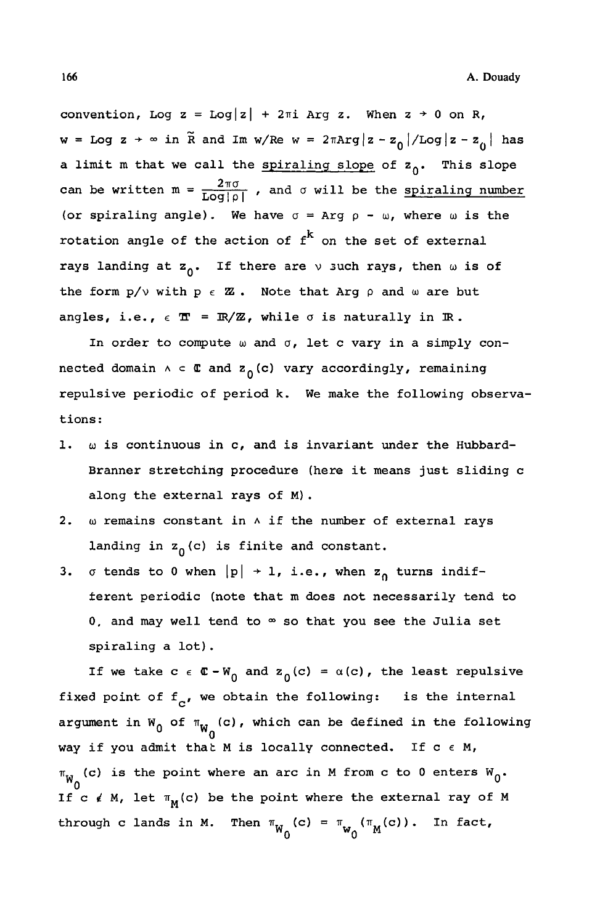convention, Log  $z = Log|z| + 2\pi i$  Arg  $z$ . When  $z \rightarrow 0$  on R, **w** = Log  $z \rightarrow \infty$  in  $\tilde{R}$  and Im w/Re w =  $2\pi Arg |z - z_0| / Log |z - z_0|$  has **a** limit m that we call the spiraling slope of  $z_0$ . This slope can be written  $m = \frac{2\pi\sigma}{\text{Log}|\rho|}$ , and  $\sigma$  will be the spiraling number (or spiraling angle). We have  $\sigma = \text{Arg } \rho - \omega$ , where  $\omega$  is the rotation angle of the action of  $f^k$  on the set of external rays landing at  $z_0$ . If there are  $\vee$  such rays, then  $\omega$  is of the form  $p/v$  with  $p \in \mathbb{Z}$ . Note that Arg  $p$  and  $\omega$  are but angles, i.e.,  $\epsilon \mathbb{T} = \mathbb{R}/\mathbb{Z}$ , while  $\sigma$  is naturally in  $\mathbb{R}$ .

In order to compute w and  $\sigma$ , let c vary in a simply con**nected domain**  $A \subset \mathbb{C}$  and  $z_0(c)$  vary accordingly, remaining **repulsive periodic of period k. We make the following observations:** 

- 1.  $\omega$  is continuous in c, and is invariant under the Hubbard-**Branner stretching procedure (here it means just sliding c along the external rays of M) .**
- **2. OJ remains constant in A if the number of external rays**  landing in  $z_0(c)$  is finite and constant.
- **3.**  $\sigma$  tends to 0 when  $|p| \rightarrow 1$ , i.e., when  $z_0$  turns indif**ferent periodic (note that m does not necessarily tend to 0, and may well tend to °° so that you see the Julia set spiraling a lot) .**

If we take  $c \in \mathbb{C} - W_0$  and  $z_0(c) = \alpha(c)$ , the least repulsive fixed point of  $f_c$ , we obtain the following: is the internal  $\alpha$  **argument in W<sub>O</sub>** of  $\pi_{\mathsf{W}_{\mathsf{O}}}(\mathsf{c})$  , which can be defined in the following **way if you admit thab M is locally connected. If c** *e* **M,**   $\pi_{\mathbf{W}}$  (c) is the point where an arc in M from c to 0 enters  $\mathbf{W}_{0}$ . If c  $\ell$  M, let  $\pi_M(c)$  be the point where the external ray of M through c lands in M. Then  $\pi_{\mathbf{W}_\perp}(\mathbf{c}) = \pi_{\mathbf{W}_\perp}(\pi_{\mathbf{M}}(\mathbf{c})))$ . In fact, **<sup>w</sup> 0 0<sup>M</sup>**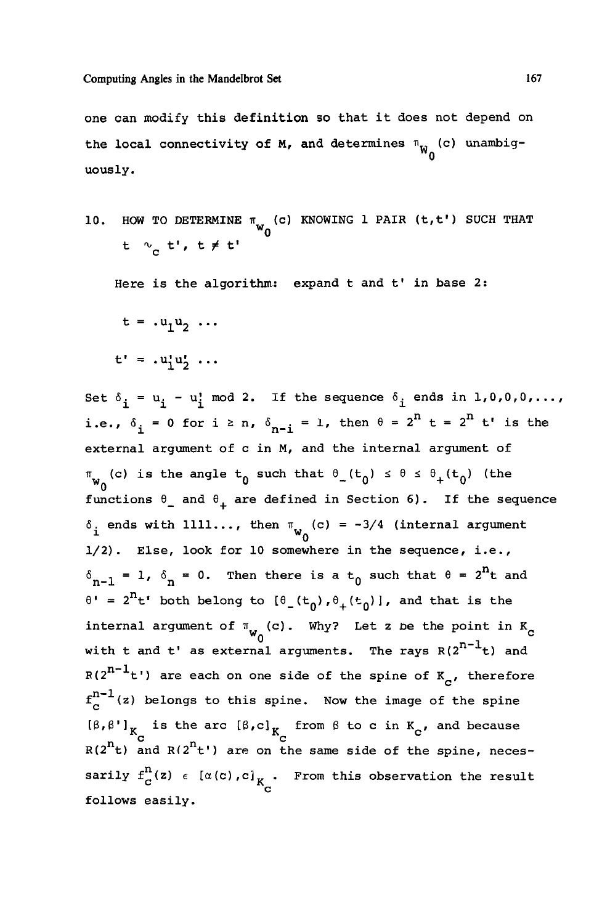**one can modify this definition so that it does not depend on**  the local connectivity of M, and determines  $\mathbb{I}_{\mathsf{W}}^{\mathsf{}}_{\mathsf{0}}(\mathsf{c})$  unambig**uously.** 

**10.** HOW TO DETERMINE  $\pi_{\textbf{w}}$  (c) KNOWING 1 PAIR (t,t') SUCH THAT **t \*c t<sup>1</sup>, t \* t<sup>1</sup>**

**Here is the algorithm: expand t and t' in base 2:** 

 $t = .u_1u_2 \ldots$ 

$$
t' = .u_1'u_2' \ldots
$$

Set  $\delta_i = u_i - u_i^{\dagger} \mod 2$ . If the sequence  $\delta_i$  ends in 1,0,0,0,..., **i.e.,**  $\delta_i = 0$  for  $i \ge n$ ,  $\delta_{n-i} = 1$ , then  $\theta = 2^n$  t =  $2^n$  t' is the **external argument of c in M, and the internal argument of**   $\pi_{w_0}(c)$  is the angle  $t_0$  such that  $\theta_-(t_0) \le \theta \le \theta_+(t_0)$  (the functions  $\theta$ <sub>1</sub> and  $\theta$ <sub>4</sub> are defined in Section 6). If the sequence  $\delta_i$  ends with 1111..., then  $\pi_{w_n}(c) = -3/4$  (internal argument  $\frac{1}{100}$  which is a contract of  $\frac{1}{100}$ **1/2). Else, look for 10 somewhere in the sequence, i.e.,**   $\delta_{n-1}$  = 1,  $\delta_n$  = 0. Then there is a t<sub>0</sub> such that  $\theta = 2^{11}t$  and  $\theta$ <sup>**'**</sup> = 2<sup>n</sup>**t'** both belong to  $\theta$ <sub>1</sub>(t<sub>0</sub>),  $\theta$ <sub>+</sub>(t<sub>0</sub>)], and that is the  $\int_{c}^{\infty}$  argument of  $\int_{w_0}^{\infty}$  (c). Why? Let z be the point in  $K_c$ with t and t' as external arguments. The rays  $R(2^{n-1}t)$  and  $R(2^{n-1}t)$  are each on one side of the spine of  $K_{\alpha}$ , therefore  $f_c^{n-1}(z)$  belongs to this spine. Now the image of the spine **[3,3']™ n <sup>c</sup>- i n s the c arc [3,c]-. ° from 3 to c in K , and because R(2 t) and R(2 t<sup>1</sup>) are on the same side of the spine, neces-** $\texttt{startly}\text{ }t_{\mathcal{C}}(z) \text{ }\in \text{ } [\alpha(c),c]_{\mathcal{K}_{\mathcal{C}}}.$  From this observation the result **follows easily.**